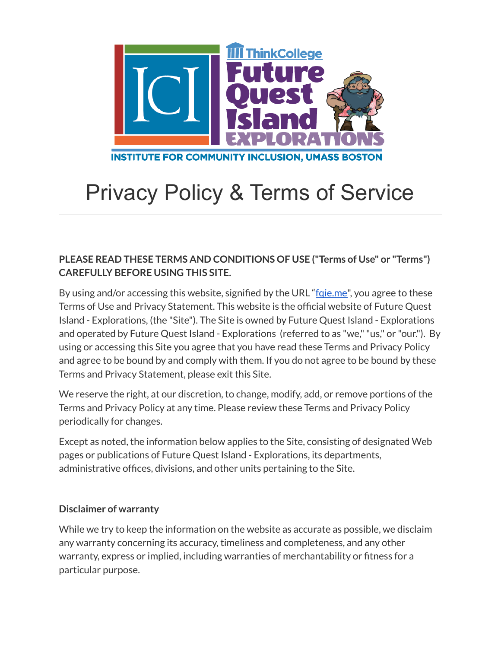

# Privacy Policy & Terms of Service

# **PLEASE READ THESE TERMS AND CONDITIONS OF USE ("Terms of Use" or "Terms") CAREFULLY BEFORE USING THIS SITE.**

By using and/or accessing this website, signified by the URL "fgie.me", you agree to these Terms of Use and Privacy Statement. This website is the official website of Future Quest Island - Explorations, (the "Site"). The Site is owned by Future Quest Island - Explorations and operated by Future Quest Island - Explorations (referred to as "we,""us," or "our."). By using or accessing this Site you agree that you have read these Terms and Privacy Policy and agree to be bound by and comply with them. If you do not agree to be bound by these Terms and Privacy Statement, please exit this Site.

We reserve the right, at our discretion, to change, modify, add, or remove portions of the Terms and Privacy Policy at any time. Please review these Terms and Privacy Policy periodically for changes.

Except as noted, the information below applies to the Site, consisting of designated Web pages or publications of Future Quest Island - Explorations, its departments, administrative offices, divisions, and other units pertaining to the Site.

#### **Disclaimer of warranty**

While we try to keep the information on the website as accurate as possible, we disclaim any warranty concerning its accuracy, timeliness and completeness, and any other warranty, express or implied, including warranties of merchantability or fitness for a particular purpose.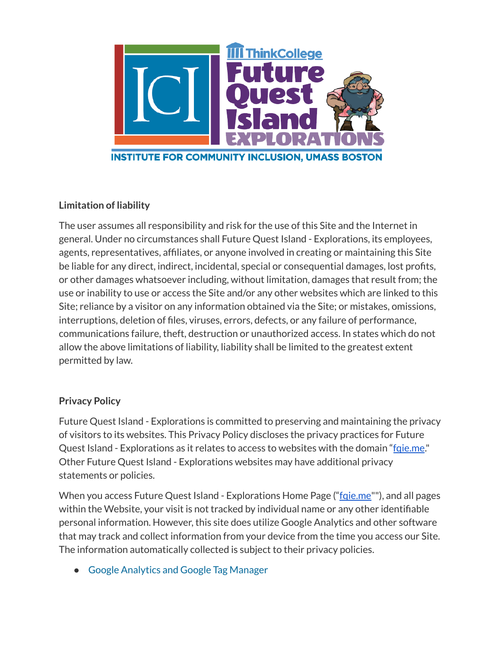

# **Limitation of liability**

The user assumes all responsibility and risk for the use of this Site and the Internet in general. Under no circumstances shall Future Quest Island - Explorations, its employees, agents, representatives, affiliates, or anyone involved in creating or maintaining this Site be liable for any direct, indirect, incidental, special or consequential damages, lost profits, or other damages whatsoever including, without limitation, damages that result from; the use or inability to use or access the Site and/or any other websites which are linked to this Site; reliance by a visitor on any information obtained via the Site; or mistakes, omissions, interruptions, deletion of files, viruses, errors, defects, or any failure of performance, communications failure, theft, destruction or unauthorized access. In states which do not allow the above limitations of liability, liability shall be limited to the greatest extent permitted by law.

# **Privacy Policy**

Future Quest Island - Explorations is committed to preserving and maintaining the privacy of visitors to its websites. This Privacy Policy discloses the privacy practices for Future Quest Island - Explorations as it relates to access to websites with the domain "faie.me." Other Future Quest Island - Explorations websites may have additional privacy statements or policies.

When you access Future Quest Island - Explorations Home Page (["fqie.me"](http://www.fqie.me)"), and all pages within the Website, your visit is not tracked by individual name or any other identifiable personal information. However, this site does utilize Google Analytics and other software that may track and collect information from your device from the time you access our Site. The information automatically collected is subject to their privacy policies.

● Google [Analytics](https://policies.google.com/privacy?hl=en) and Google Tag Manager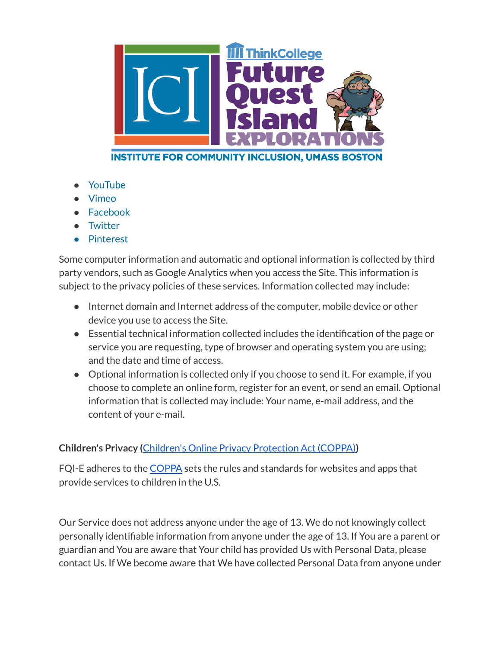

- **[YouTube](https://policies.google.com/privacy?hl=en)**
- **Vimeo**
- **[Facebook](https://www.facebook.com/privacy/explanation)**
- **[Twitter](https://twitter.com/en/privacy)**
- Pinterest

Some computer information and automatic and optional information is collected by third party vendors, such as Google Analytics when you access the Site. This information is subject to the privacy policies of these services. Information collected may include:

- Internet domain and Internet address of the computer, mobile device or other device you use to access the Site.
- Essential technical information collected includes the identification of the page or service you are requesting, type of browser and operating system you are using; and the date and time of access.
- Optional information is collected only if you choose to send it. For example, if you choose to complete an online form, register for an event, or send an email. Optional information that is collected may include: Your name, e-mail address, and the content of your e-mail.

# **Children's Privacy (**Children's Online Privacy [Protection](https://www.ftc.gov/enforcement/rules/rulemaking-regulatory-reform-proceedings/childrens-online-privacy-protection-rule) Act (COPPA)**)**

FQI-E adheres to the [COPPA](https://www.ftc.gov/enforcement/rules/rulemaking-regulatory-reform-proceedings/childrens-online-privacy-protection-rule) sets the rules and standards for websites and apps that provide services to children in the U.S.

Our Service does not address anyone under the age of 13. We do not knowingly collect personally identifiable information from anyone under the age of 13. If You are a parent or guardian and You are aware that Your child has provided Us with Personal Data, please contact Us. If We become aware that We have collected Personal Data from anyone under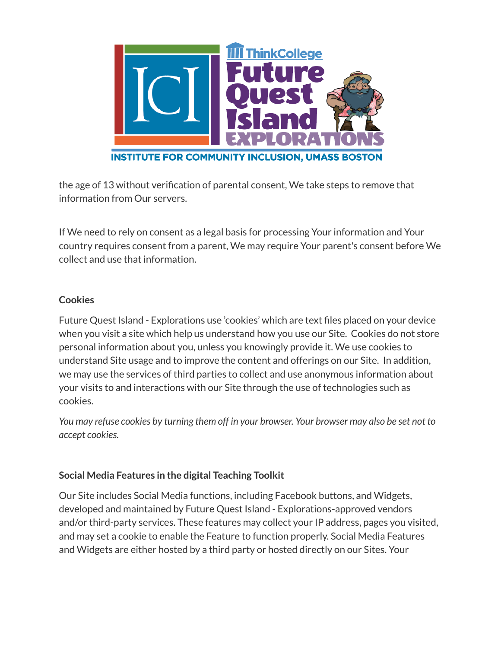

the age of 13 without verification of parental consent, We take steps to remove that information from Our servers.

If We need to rely on consent as a legal basis for processing Your information and Your country requires consent from a parent, We may require Your parent's consent before We collect and use that information.

#### **Cookies**

Future Quest Island - Explorations use 'cookies' which are text files placed on your device when you visit a site which help us understand how you use our Site. Cookies do not store personal information about you, unless you knowingly provide it. We use cookies to understand Site usage and to improve the content and offerings on our Site. In addition, we may use the services of third parties to collect and use anonymous information about your visits to and interactions with our Site through the use of technologies such as cookies.

You may refuse cookies by turning them off in your browser. Your browser may also be set not to *accept cookies.*

# **Social Media Features in the digital Teaching Toolkit**

Our Site includes Social Media functions, including Facebook buttons, and Widgets, developed and maintained by Future Quest Island - Explorations-approved vendors and/or third-party services. These features may collect your IP address, pages you visited, and may set a cookie to enable the Feature to function properly. Social Media Features and Widgets are either hosted by a third party or hosted directly on our Sites. Your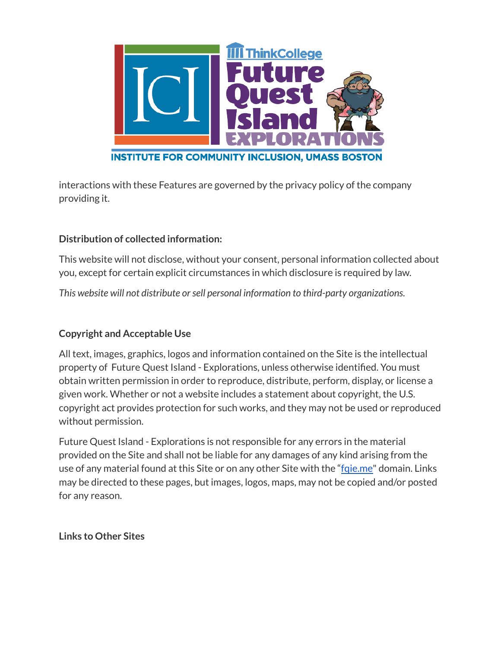

interactions with these Features are governed by the privacy policy of the company providing it.

# **Distribution of collected information:**

This website will not disclose, without your consent, personal information collected about you, except for certain explicit circumstances in which disclosure is required by law.

*This website will not distribute orsell personal information to third-party organizations.*

# **Copyright and Acceptable Use**

All text, images, graphics, logos and information contained on the Site is the intellectual property of Future Quest Island - Explorations, unless otherwise identified. You must obtain written permission in order to reproduce, distribute, perform, display, or license a given work. Whether or not a website includes a statement about copyright, the U.S. copyright act provides protection for such works, and they may not be used or reproduced without permission.

Future Quest Island - Explorations is not responsible for any errors in the material provided on the Site and shall not be liable for any damages of any kind arising from the use of any material found at this Site or on any other Site with the "[fqie.me"](http://www.fqie.me) domain. Links may be directed to these pages, but images, logos, maps, may not be copied and/or posted for any reason.

**Links to Other Sites**